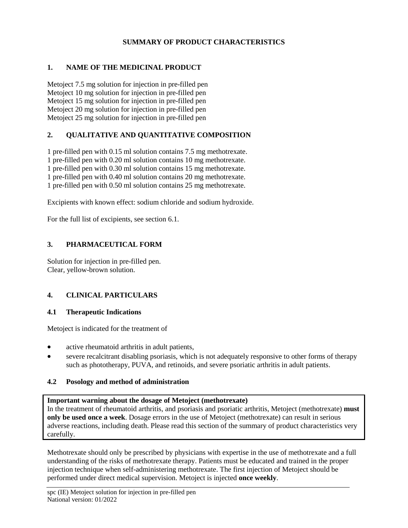## **SUMMARY OF PRODUCT CHARACTERISTICS**

## **1. NAME OF THE MEDICINAL PRODUCT**

Metoject 7.5 mg solution for injection in pre-filled pen Metoject 10 mg solution for injection in pre-filled pen Metoject 15 mg solution for injection in pre-filled pen Metoject 20 mg solution for injection in pre-filled pen Metoject 25 mg solution for injection in pre-filled pen

## **2. QUALITATIVE AND QUANTITATIVE COMPOSITION**

1 pre-filled pen with 0.15 ml solution contains 7.5 mg methotrexate. 1 pre-filled pen with 0.20 ml solution contains 10 mg methotrexate. 1 pre-filled pen with 0.30 ml solution contains 15 mg methotrexate. 1 pre-filled pen with 0.40 ml solution contains 20 mg methotrexate. 1 pre-filled pen with 0.50 ml solution contains 25 mg methotrexate.

Excipients with known effect: sodium chloride and sodium hydroxide.

For the full list of excipients, see section 6.1.

## **3. PHARMACEUTICAL FORM**

Solution for injection in pre-filled pen. Clear, yellow-brown solution.

# **4. CLINICAL PARTICULARS**

## **4.1 Therapeutic Indications**

Metoject is indicated for the treatment of

- active rheumatoid arthritis in adult patients,
- severe recalcitrant disabling psoriasis, which is not adequately responsive to other forms of therapy such as phototherapy, PUVA, and retinoids, and severe psoriatic arthritis in adult patients.

## **4.2 Posology and method of administration**

## **Important warning about the dosage of Metoject (methotrexate)**

In the treatment of rheumatoid arthritis, and psoriasis and psoriatic arthritis, Metoject (methotrexate) **must only be used once a week**. Dosage errors in the use of Metoject (methotrexate) can result in serious adverse reactions, including death. Please read this section of the summary of product characteristics very carefully.

Methotrexate should only be prescribed by physicians with expertise in the use of methotrexate and a full understanding of the risks of methotrexate therapy. Patients must be educated and trained in the proper injection technique when self-administering methotrexate. The first injection of Metoject should be performed under direct medical supervision. Metoject is injected **once weekly**.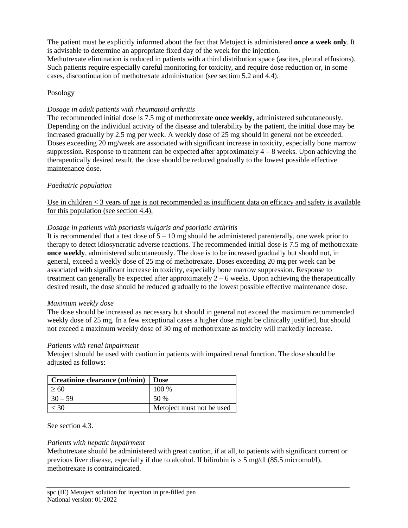The patient must be explicitly informed about the fact that Metoject is administered **once a week only**. It is advisable to determine an appropriate fixed day of the week for the injection.

Methotrexate elimination is reduced in patients with a third distribution space (ascites, pleural effusions). Such patients require especially careful monitoring for toxicity, and require dose reduction or, in some cases, discontinuation of methotrexate administration (see section 5.2 and 4.4).

## Posology

## *Dosage in adult patients with rheumatoid arthritis*

The recommended initial dose is 7.5 mg of methotrexate **once weekly**, administered subcutaneously. Depending on the individual activity of the disease and tolerability by the patient, the initial dose may be increased gradually by 2.5 mg per week. A weekly dose of 25 mg should in general not be exceeded. Doses exceeding 20 mg/week are associated with significant increase in toxicity, especially bone marrow suppression**.** Response to treatment can be expected after approximately 4 – 8 weeks. Upon achieving the therapeutically desired result, the dose should be reduced gradually to the lowest possible effective maintenance dose.

## *Paediatric population*

Use in children < 3 years of age is not recommended as insufficient data on efficacy and safety is available for this population (see section 4.4).

## *Dosage in patients with psoriasis vulgaris and psoriatic arthritis*

It is recommended that a test dose of  $5 - 10$  mg should be administered parenterally, one week prior to therapy to detect idiosyncratic adverse reactions. The recommended initial dose is 7.5 mg of methotrexate **once weekly**, administered subcutaneously. The dose is to be increased gradually but should not, in general, exceed a weekly dose of 25 mg of methotrexate. Doses exceeding 20 mg per week can be associated with significant increase in toxicity, especially bone marrow suppression. Response to treatment can generally be expected after approximately  $2 - 6$  weeks. Upon achieving the therapeutically desired result, the dose should be reduced gradually to the lowest possible effective maintenance dose.

## *Maximum weekly dose*

The dose should be increased as necessary but should in general not exceed the maximum recommended weekly dose of 25 mg. In a few exceptional cases a higher dose might be clinically justified, but should not exceed a maximum weekly dose of 30 mg of methotrexate as toxicity will markedly increase.

## *Patients with renal impairment*

Metoject should be used with caution in patients with impaired renal function. The dose should be adjusted as follows:

| Creatinine clearance (ml/min)   Dose |                           |
|--------------------------------------|---------------------------|
| >60                                  | 100 %                     |
| $30 - 59$                            | 50 %                      |
| < 30                                 | Metoject must not be used |

See section 4.3.

## *Patients with hepatic impairment*

Methotrexate should be administered with great caution, if at all, to patients with significant current or previous liver disease, especially if due to alcohol. If bilirubin is  $> 5 \text{ mg/d}$  (85.5 micromol/l), methotrexate is contraindicated.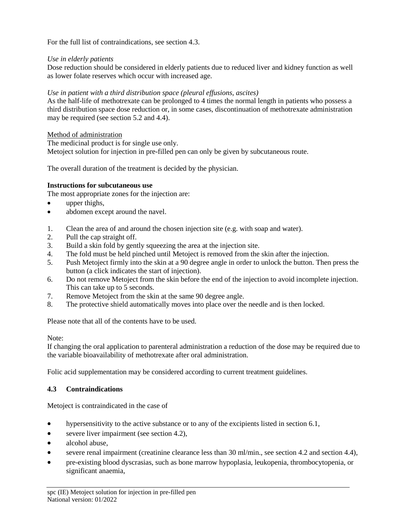For the full list of contraindications, see section 4.3.

## *Use in elderly patients*

Dose reduction should be considered in elderly patients due to reduced liver and kidney function as well as lower folate reserves which occur with increased age.

## *Use in patient with a third distribution space (pleural effusions, ascites)*

As the half-life of methotrexate can be prolonged to 4 times the normal length in patients who possess a third distribution space dose reduction or, in some cases, discontinuation of methotrexate administration may be required (see section 5.2 and 4.4).

## Method of administration

The medicinal product is for single use only. Metoject solution for injection in pre-filled pen can only be given by subcutaneous route.

The overall duration of the treatment is decided by the physician.

# **Instructions for subcutaneous use**

The most appropriate zones for the injection are:

- upper thighs,
- abdomen except around the navel.
- 1. Clean the area of and around the chosen injection site (e.g. with soap and water).
- 2. Pull the cap straight off.
- 3. Build a skin fold by gently squeezing the area at the injection site.
- 4. The fold must be held pinched until Metoject is removed from the skin after the injection.
- 5. Push Metoject firmly into the skin at a 90 degree angle in order to unlock the button. Then press the button (a click indicates the start of injection).
- 6. Do not remove Metoject from the skin before the end of the injection to avoid incomplete injection. This can take up to 5 seconds.
- 7. Remove Metoject from the skin at the same 90 degree angle.
- 8. The protective shield automatically moves into place over the needle and is then locked.

Please note that all of the contents have to be used.

## Note:

If changing the oral application to parenteral administration a reduction of the dose may be required due to the variable bioavailability of methotrexate after oral administration.

Folic acid supplementation may be considered according to current treatment guidelines.

# **4.3 Contraindications**

Metoject is contraindicated in the case of

- hypersensitivity to the active substance or to any of the excipients listed in section 6.1,
- severe liver impairment (see section 4.2),
- alcohol abuse,
- severe renal impairment (creatinine clearance less than 30 ml/min., see section 4.2 and section 4.4),
- pre-existing blood dyscrasias, such as bone marrow hypoplasia, leukopenia, thrombocytopenia, or significant anaemia,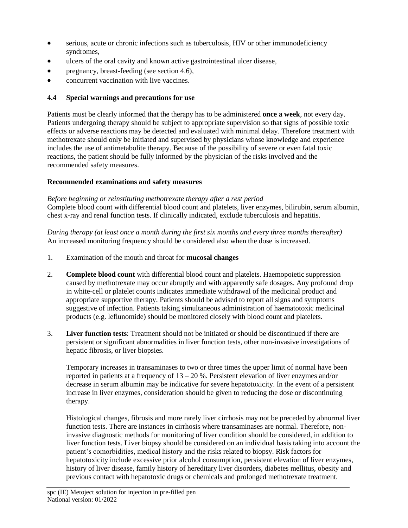- serious, acute or chronic infections such as tuberculosis, HIV or other immunodeficiency syndromes,
- ulcers of the oral cavity and known active gastrointestinal ulcer disease,
- pregnancy, breast-feeding (see section 4.6),
- concurrent vaccination with live vaccines.

# **4.4 Special warnings and precautions for use**

Patients must be clearly informed that the therapy has to be administered **once a week**, not every day. Patients undergoing therapy should be subject to appropriate supervision so that signs of possible toxic effects or adverse reactions may be detected and evaluated with minimal delay. Therefore treatment with methotrexate should only be initiated and supervised by physicians whose knowledge and experience includes the use of antimetabolite therapy. Because of the possibility of severe or even fatal toxic reactions, the patient should be fully informed by the physician of the risks involved and the recommended safety measures.

# **Recommended examinations and safety measures**

*Before beginning or reinstituting methotrexate therapy after a rest period* Complete blood count with differential blood count and platelets, liver enzymes, bilirubin, serum albumin, chest x-ray and renal function tests. If clinically indicated, exclude tuberculosis and hepatitis.

*During therapy (at least once a month during the first six months and every three months thereafter)* An increased monitoring frequency should be considered also when the dose is increased.

- 1. Examination of the mouth and throat for **mucosal changes**
- 2. **Complete blood count** with differential blood count and platelets. Haemopoietic suppression caused by methotrexate may occur abruptly and with apparently safe dosages. Any profound drop in white-cell or platelet counts indicates immediate withdrawal of the medicinal product and appropriate supportive therapy. Patients should be advised to report all signs and symptoms suggestive of infection. Patients taking simultaneous administration of haematotoxic medicinal products (e.g. leflunomide) should be monitored closely with blood count and platelets.
- 3. **Liver function tests**: Treatment should not be initiated or should be discontinued if there are persistent or significant abnormalities in liver function tests, other non-invasive investigations of hepatic fibrosis, or liver biopsies.

Temporary increases in transaminases to two or three times the upper limit of normal have been reported in patients at a frequency of  $13 - 20$ %. Persistent elevation of liver enzymes and/or decrease in serum albumin may be indicative for severe hepatotoxicity. In the event of a persistent increase in liver enzymes, consideration should be given to reducing the dose or discontinuing therapy.

Histological changes, fibrosis and more rarely liver cirrhosis may not be preceded by abnormal liver function tests. There are instances in cirrhosis where transaminases are normal. Therefore, noninvasive diagnostic methods for monitoring of liver condition should be considered, in addition to liver function tests. Liver biopsy should be considered on an individual basis taking into account the patient's comorbidities, medical history and the risks related to biopsy. Risk factors for hepatotoxicity include excessive prior alcohol consumption, persistent elevation of liver enzymes, history of liver disease, family history of hereditary liver disorders, diabetes mellitus, obesity and previous contact with hepatotoxic drugs or chemicals and prolonged methotrexate treatment.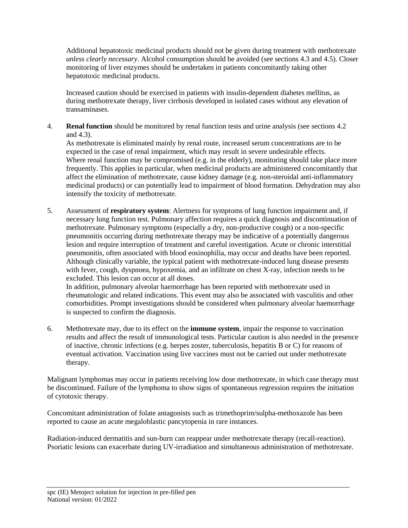Additional hepatotoxic medicinal products should not be given during treatment with methotrexate *unless clearly necessary*. Alcohol consumption should be avoided (see sections 4.3 and 4.5). Closer monitoring of liver enzymes should be undertaken in patients concomitantly taking other hepatotoxic medicinal products.

Increased caution should be exercised in patients with insulin-dependent diabetes mellitus, as during methotrexate therapy, liver cirrhosis developed in isolated cases without any elevation of transaminases.

4. **Renal function** should be monitored by renal function tests and urine analysis (see sections 4.2 and 4.3).

As methotrexate is eliminated mainly by renal route, increased serum concentrations are to be expected in the case of renal impairment, which may result in severe undesirable effects. Where renal function may be compromised (e.g. in the elderly), monitoring should take place more frequently. This applies in particular, when medicinal products are administered concomitantly that affect the elimination of methotrexate, cause kidney damage (e.g. non-steroidal anti-inflammatory medicinal products) or can potentially lead to impairment of blood formation. Dehydration may also intensify the toxicity of methotrexate.

5. Assessment of **respiratory system**: Alertness for symptoms of lung function impairment and, if necessary lung function test. Pulmonary affection requires a quick diagnosis and discontinuation of methotrexate. Pulmonary symptoms (especially a dry, non-productive cough) or a non-specific pneumonitis occurring during methotrexate therapy may be indicative of a potentially dangerous lesion and require interruption of treatment and careful investigation. Acute or chronic interstitial pneumonitis, often associated with blood eosinophilia, may occur and deaths have been reported. Although clinically variable, the typical patient with methotrexate-induced lung disease presents with fever, cough, dyspnoea, hypoxemia, and an infiltrate on chest X-ray, infection needs to be excluded. This lesion can occur at all doses.

In addition, pulmonary alveolar haemorrhage has been reported with methotrexate used in rheumatologic and related indications. This event may also be associated with vasculitis and other comorbidities. Prompt investigations should be considered when pulmonary alveolar haemorrhage is suspected to confirm the diagnosis.

6. Methotrexate may, due to its effect on the **immune system**, impair the response to vaccination results and affect the result of immunological tests. Particular caution is also needed in the presence of inactive, chronic infections (e.g. herpes zoster, tuberculosis, hepatitis B or C) for reasons of eventual activation. Vaccination using live vaccines must not be carried out under methotrexate therapy.

Malignant lymphomas may occur in patients receiving low dose methotrexate, in which case therapy must be discontinued. Failure of the lymphoma to show signs of spontaneous regression requires the initiation of cytotoxic therapy.

Concomitant administration of folate antagonists such as trimethoprim/sulpha-methoxazole has been reported to cause an acute megaloblastic pancytopenia in rare instances.

Radiation-induced dermatitis and sun-burn can reappear under methotrexate therapy (recall-reaction). Psoriatic lesions can exacerbate during UV-irradiation and simultaneous administration of methotrexate.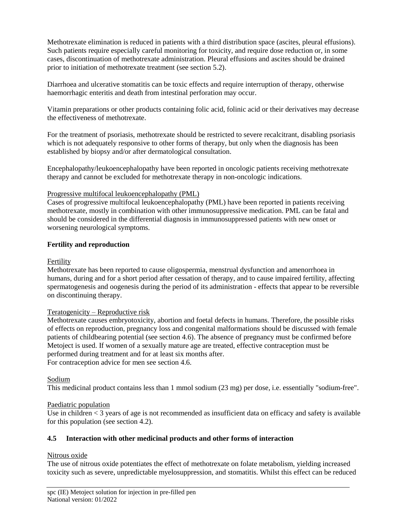Methotrexate elimination is reduced in patients with a third distribution space (ascites, pleural effusions). Such patients require especially careful monitoring for toxicity, and require dose reduction or, in some cases, discontinuation of methotrexate administration. Pleural effusions and ascites should be drained prior to initiation of methotrexate treatment (see section 5.2).

Diarrhoea and ulcerative stomatitis can be toxic effects and require interruption of therapy, otherwise haemorrhagic enteritis and death from intestinal perforation may occur.

Vitamin preparations or other products containing folic acid, folinic acid or their derivatives may decrease the effectiveness of methotrexate.

For the treatment of psoriasis, methotrexate should be restricted to severe recalcitrant, disabling psoriasis which is not adequately responsive to other forms of therapy, but only when the diagnosis has been established by biopsy and/or after dermatological consultation.

Encephalopathy/leukoencephalopathy have been reported in oncologic patients receiving methotrexate therapy and cannot be excluded for methotrexate therapy in non-oncologic indications.

## Progressive multifocal leukoencephalopathy (PML)

Cases of progressive multifocal leukoencephalopathy (PML) have been reported in patients receiving methotrexate, mostly in combination with other immunosuppressive medication. PML can be fatal and should be considered in the differential diagnosis in immunosuppressed patients with new onset or worsening neurological symptoms.

#### **Fertility and reproduction**

### Fertility

Methotrexate has been reported to cause oligospermia, menstrual dysfunction and amenorrhoea in humans, during and for a short period after cessation of therapy, and to cause impaired fertility, affecting spermatogenesis and oogenesis during the period of its administration - effects that appear to be reversible on discontinuing therapy.

## Teratogenicity – Reproductive risk

Methotrexate causes embryotoxicity, abortion and foetal defects in humans. Therefore, the possible risks of effects on reproduction, pregnancy loss and congenital malformations should be discussed with female patients of childbearing potential (see section 4.6). The absence of pregnancy must be confirmed before Metoject is used. If women of a sexually mature age are treated, effective contraception must be performed during treatment and for at least six months after. For contraception advice for men see section 4.6.

#### Sodium

This medicinal product contains less than 1 mmol sodium (23 mg) per dose, i.e. essentially "sodium-free".

## Paediatric population

Use in children < 3 years of age is not recommended as insufficient data on efficacy and safety is available for this population (see section 4.2).

## **4.5 Interaction with other medicinal products and other forms of interaction**

## Nitrous oxide

The use of nitrous oxide potentiates the effect of methotrexate on folate metabolism, yielding increased toxicity such as severe, unpredictable myelosuppression, and stomatitis. Whilst this effect can be reduced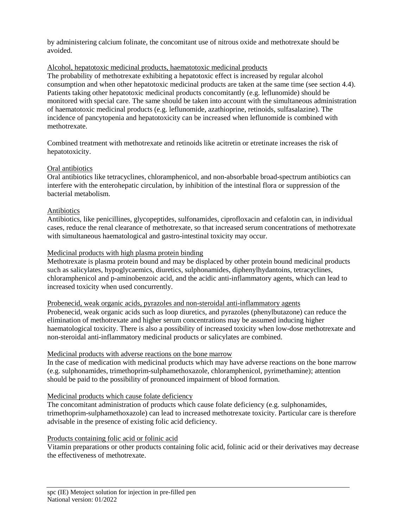by administering calcium folinate, the concomitant use of nitrous oxide and methotrexate should be avoided.

## Alcohol, hepatotoxic medicinal products, haematotoxic medicinal products

The probability of methotrexate exhibiting a hepatotoxic effect is increased by regular alcohol consumption and when other hepatotoxic medicinal products are taken at the same time (see section 4.4). Patients taking other hepatotoxic medicinal products concomitantly (e.g. leflunomide) should be monitored with special care. The same should be taken into account with the simultaneous administration of haematotoxic medicinal products (e.g. leflunomide, azathioprine, retinoids, sulfasalazine). The incidence of pancytopenia and hepatotoxicity can be increased when leflunomide is combined with methotrexate.

Combined treatment with methotrexate and retinoids like acitretin or etretinate increases the risk of hepatotoxicity.

## Oral antibiotics

Oral antibiotics like tetracyclines, chloramphenicol, and non-absorbable broad-spectrum antibiotics can interfere with the enterohepatic circulation, by inhibition of the intestinal flora or suppression of the bacterial metabolism.

## Antibiotics

Antibiotics, like penicillines, glycopeptides, sulfonamides, ciprofloxacin and cefalotin can, in individual cases, reduce the renal clearance of methotrexate, so that increased serum concentrations of methotrexate with simultaneous haematological and gastro-intestinal toxicity may occur.

#### Medicinal products with high plasma protein binding

Methotrexate is plasma protein bound and may be displaced by other protein bound medicinal products such as salicylates, hypoglycaemics, diuretics, sulphonamides, diphenylhydantoins, tetracyclines, chloramphenicol and p-aminobenzoic acid, and the acidic anti-inflammatory agents, which can lead to increased toxicity when used concurrently.

#### Probenecid, weak organic acids, pyrazoles and non-steroidal anti-inflammatory agents

Probenecid, weak organic acids such as loop diuretics, and pyrazoles (phenylbutazone) can reduce the elimination of methotrexate and higher serum concentrations may be assumed inducing higher haematological toxicity. There is also a possibility of increased toxicity when low-dose methotrexate and non-steroidal anti-inflammatory medicinal products or salicylates are combined.

## Medicinal products with adverse reactions on the bone marrow

In the case of medication with medicinal products which may have adverse reactions on the bone marrow (e.g. sulphonamides, trimethoprim-sulphamethoxazole, chloramphenicol, pyrimethamine); attention should be paid to the possibility of pronounced impairment of blood formation.

## Medicinal products which cause folate deficiency

The concomitant administration of products which cause folate deficiency (e.g. sulphonamides, trimethoprim-sulphamethoxazole) can lead to increased methotrexate toxicity. Particular care is therefore advisable in the presence of existing folic acid deficiency.

#### Products containing folic acid or folinic acid

Vitamin preparations or other products containing folic acid, folinic acid or their derivatives may decrease the effectiveness of methotrexate.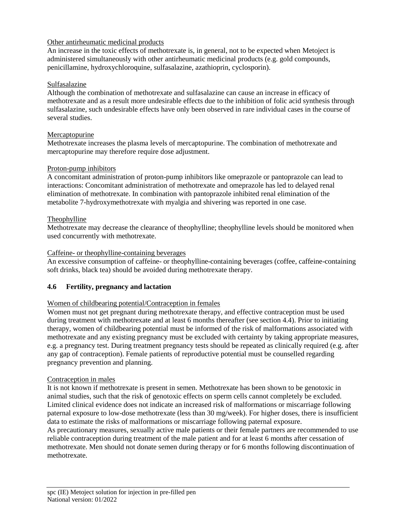## Other antirheumatic medicinal products

An increase in the toxic effects of methotrexate is, in general, not to be expected when Metoject is administered simultaneously with other antirheumatic medicinal products (e.g. gold compounds, penicillamine, hydroxychloroquine, sulfasalazine, azathioprin, cyclosporin).

### Sulfasalazine

Although the combination of methotrexate and sulfasalazine can cause an increase in efficacy of methotrexate and as a result more undesirable effects due to the inhibition of folic acid synthesis through sulfasalazine, such undesirable effects have only been observed in rare individual cases in the course of several studies.

#### Mercaptopurine

Methotrexate increases the plasma levels of mercaptopurine. The combination of methotrexate and mercaptopurine may therefore require dose adjustment.

#### Proton-pump inhibitors

A concomitant administration of proton-pump inhibitors like omeprazole or pantoprazole can lead to interactions: Concomitant administration of methotrexate and omeprazole has led to delayed renal elimination of methotrexate. In combination with pantoprazole inhibited renal elimination of the metabolite 7-hydroxymethotrexate with myalgia and shivering was reported in one case.

## Theophylline

Methotrexate may decrease the clearance of theophylline; theophylline levels should be monitored when used concurrently with methotrexate.

#### Caffeine- or theophylline-containing beverages

An excessive consumption of caffeine- or theophylline-containing beverages (coffee, caffeine-containing soft drinks, black tea) should be avoided during methotrexate therapy.

## **4.6 Fertility, pregnancy and lactation**

#### Women of childbearing potential/Contraception in females

Women must not get pregnant during methotrexate therapy, and effective contraception must be used during treatment with methotrexate and at least 6 months thereafter (see section 4.4). Prior to initiating therapy, women of childbearing potential must be informed of the risk of malformations associated with methotrexate and any existing pregnancy must be excluded with certainty by taking appropriate measures, e.g. a pregnancy test. During treatment pregnancy tests should be repeated as clinically required (e.g. after any gap of contraception). Female patients of reproductive potential must be counselled regarding pregnancy prevention and planning.

#### Contraception in males

It is not known if methotrexate is present in semen. Methotrexate has been shown to be genotoxic in animal studies, such that the risk of genotoxic effects on sperm cells cannot completely be excluded. Limited clinical evidence does not indicate an increased risk of malformations or miscarriage following paternal exposure to low-dose methotrexate (less than 30 mg/week). For higher doses, there is insufficient data to estimate the risks of malformations or miscarriage following paternal exposure.

As precautionary measures, sexually active male patients or their female partners are recommended to use reliable contraception during treatment of the male patient and for at least 6 months after cessation of methotrexate. Men should not donate semen during therapy or for 6 months following discontinuation of methotrexate.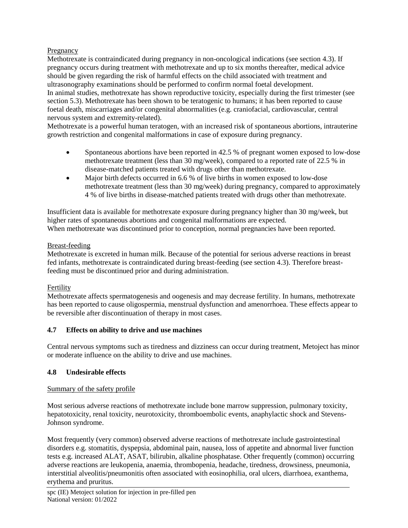## Pregnancy

Methotrexate is contraindicated during pregnancy in non-oncological indications (see section 4.3). If pregnancy occurs during treatment with methotrexate and up to six months thereafter, medical advice should be given regarding the risk of harmful effects on the child associated with treatment and ultrasonography examinations should be performed to confirm normal foetal development. In animal studies, methotrexate has shown reproductive toxicity, especially during the first trimester (see section 5.3). Methotrexate has been shown to be teratogenic to humans; it has been reported to cause foetal death, miscarriages and/or congenital abnormalities (e.g. craniofacial, cardiovascular, central nervous system and extremity-related).

Methotrexate is a powerful human teratogen, with an increased risk of spontaneous abortions, intrauterine growth restriction and congenital malformations in case of exposure during pregnancy.

- Spontaneous abortions have been reported in 42.5 % of pregnant women exposed to low-dose methotrexate treatment (less than 30 mg/week), compared to a reported rate of 22.5 % in disease-matched patients treated with drugs other than methotrexate.
- Major birth defects occurred in 6.6 % of live births in women exposed to low-dose methotrexate treatment (less than 30 mg/week) during pregnancy, compared to approximately 4 % of live births in disease-matched patients treated with drugs other than methotrexate.

Insufficient data is available for methotrexate exposure during pregnancy higher than 30 mg/week, but higher rates of spontaneous abortions and congenital malformations are expected. When methotrexate was discontinued prior to conception, normal pregnancies have been reported.

## Breast-feeding

Methotrexate is excreted in human milk. Because of the potential for serious adverse reactions in breast fed infants, methotrexate is contraindicated during breast-feeding (see section 4.3). Therefore breastfeeding must be discontinued prior and during administration.

# Fertility

Methotrexate affects spermatogenesis and oogenesis and may decrease fertility. In humans, methotrexate has been reported to cause oligospermia, menstrual dysfunction and amenorrhoea. These effects appear to be reversible after discontinuation of therapy in most cases.

## **4.7 Effects on ability to drive and use machines**

Central nervous symptoms such as tiredness and dizziness can occur during treatment, Metoject has minor or moderate influence on the ability to drive and use machines.

# **4.8 Undesirable effects**

## Summary of the safety profile

Most serious adverse reactions of methotrexate include bone marrow suppression, pulmonary toxicity, hepatotoxicity, renal toxicity, neurotoxicity, thromboembolic events, anaphylactic shock and Stevens-Johnson syndrome.

Most frequently (very common) observed adverse reactions of methotrexate include gastrointestinal disorders e.g. stomatitis, dyspepsia, abdominal pain, nausea, loss of appetite and abnormal liver function tests e.g. increased ALAT, ASAT, bilirubin, alkaline phosphatase. Other frequently (common) occurring adverse reactions are leukopenia, anaemia, thrombopenia, headache, tiredness, drowsiness, pneumonia, interstitial alveolitis/pneumonitis often associated with eosinophilia, oral ulcers, diarrhoea, exanthema, erythema and pruritus.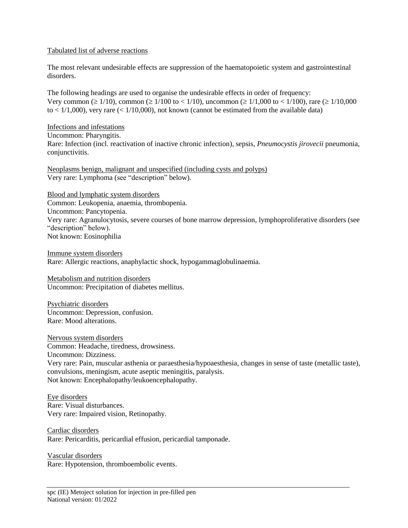#### Tabulated list of adverse reactions

The most relevant undesirable effects are suppression of the haematopoietic system and gastrointestinal disorders.

The following headings are used to organise the undesirable effects in order of frequency: Very common ( $\geq 1/10$ ), common ( $\geq 1/100$  to < 1/10), uncommon ( $\geq 1/1,000$  to < 1/100), rare ( $\geq 1/10,000$ to  $\langle 1/1,000 \rangle$ , very rare ( $\langle 1/10,000 \rangle$ , not known (cannot be estimated from the available data)

Infections and infestations

Uncommon: Pharyngitis. Rare: Infection (incl. reactivation of inactive chronic infection), sepsis, *Pneumocystis jirovecii* pneumonia, conjunctivitis.

Neoplasms benign, malignant and unspecified (including cysts and polyps) Very rare: Lymphoma (see "description" below).

Blood and lymphatic system disorders Common: Leukopenia, anaemia, thrombopenia. Uncommon: Pancytopenia. Very rare: Agranulocytosis, severe courses of bone marrow depression, lymphoproliferative disorders (see "description" below). Not known: Eosinophilia

Immune system disorders Rare: Allergic reactions, anaphylactic shock, hypogammaglobulinaemia.

Metabolism and nutrition disorders Uncommon: Precipitation of diabetes mellitus.

Psychiatric disorders Uncommon: Depression, confusion. Rare: Mood alterations.

Nervous system disorders Common: Headache, tiredness, drowsiness. Uncommon: Dizziness. Very rare: Pain, muscular asthenia or paraesthesia/hypoaesthesia, changes in sense of taste (metallic taste), convulsions, meningism, acute aseptic meningitis, paralysis. Not known: Encephalopathy/leukoencephalopathy.

Eye disorders Rare: Visual disturbances. Very rare: Impaired vision, Retinopathy.

Cardiac disorders Rare: Pericarditis, pericardial effusion, pericardial tamponade.

Vascular disorders Rare: Hypotension, thromboembolic events.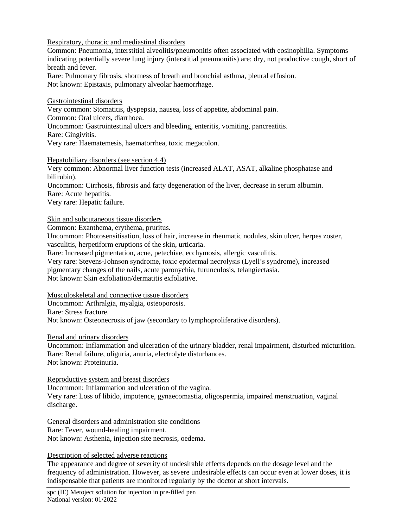Respiratory, thoracic and mediastinal disorders

Common: Pneumonia, interstitial alveolitis/pneumonitis often associated with eosinophilia. Symptoms indicating potentially severe lung injury (interstitial pneumonitis) are: dry, not productive cough, short of breath and fever.

Rare: Pulmonary fibrosis, shortness of breath and bronchial asthma, pleural effusion. Not known: Epistaxis, pulmonary alveolar haemorrhage.

#### Gastrointestinal disorders

Very common: Stomatitis, dyspepsia, nausea, loss of appetite, abdominal pain.

Common: Oral ulcers, diarrhoea.

Uncommon: Gastrointestinal ulcers and bleeding, enteritis, vomiting, pancreatitis.

Rare: Gingivitis.

Very rare: Haematemesis, haematorrhea, toxic megacolon.

#### Hepatobiliary disorders (see section 4.4)

Very common: Abnormal liver function tests (increased ALAT, ASAT, alkaline phosphatase and bilirubin).

Uncommon: Cirrhosis, fibrosis and fatty degeneration of the liver, decrease in serum albumin. Rare: Acute hepatitis.

Very rare: Hepatic failure.

#### Skin and subcutaneous tissue disorders

Common: Exanthema, erythema, pruritus.

Uncommon: Photosensitisation, loss of hair, increase in rheumatic nodules, skin ulcer, herpes zoster, vasculitis, herpetiform eruptions of the skin, urticaria.

Rare: Increased pigmentation, acne, petechiae, ecchymosis, allergic vasculitis.

Very rare: Stevens-Johnson syndrome, toxic epidermal necrolysis (Lyell's syndrome), increased

pigmentary changes of the nails, acute paronychia, furunculosis, telangiectasia.

Not known: Skin exfoliation/dermatitis exfoliative.

## Musculoskeletal and connective tissue disorders

Uncommon: Arthralgia, myalgia, osteoporosis.

Rare: Stress fracture.

Not known: Osteonecrosis of jaw (secondary to lymphoproliferative disorders).

#### Renal and urinary disorders

Uncommon: Inflammation and ulceration of the urinary bladder, renal impairment, disturbed micturition. Rare: Renal failure, oliguria, anuria, electrolyte disturbances. Not known: Proteinuria.

Reproductive system and breast disorders

Uncommon: Inflammation and ulceration of the vagina.

Very rare: Loss of libido, impotence, gynaecomastia, oligospermia, impaired menstruation, vaginal discharge.

General disorders and administration site conditions Rare: Fever, wound-healing impairment. Not known: Asthenia, injection site necrosis, oedema.

#### Description of selected adverse reactions

The appearance and degree of severity of undesirable effects depends on the dosage level and the frequency of administration. However, as severe undesirable effects can occur even at lower doses, it is indispensable that patients are monitored regularly by the doctor at short intervals.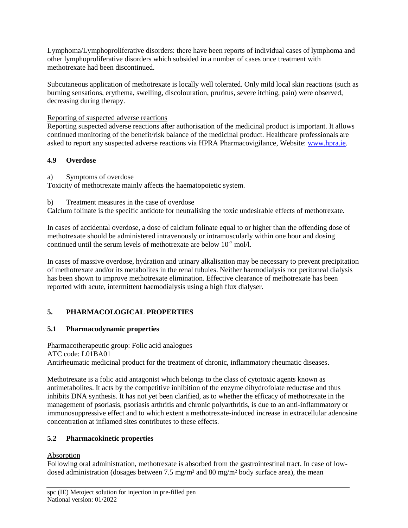Lymphoma/Lymphoproliferative disorders: there have been reports of individual cases of lymphoma and other lymphoproliferative disorders which subsided in a number of cases once treatment with methotrexate had been discontinued.

Subcutaneous application of methotrexate is locally well tolerated. Only mild local skin reactions (such as burning sensations, erythema, swelling, discolouration, pruritus, severe itching, pain) were observed, decreasing during therapy.

Reporting of suspected adverse reactions

Reporting suspected adverse reactions after authorisation of the medicinal product is important. It allows continued monitoring of the benefit/risk balance of the medicinal product. Healthcare professionals are asked to report any suspected adverse reactions via HPRA Pharmacovigilance, Website: [www.hpra.ie.](http://www.hpra.ie/)

# **4.9 Overdose**

a) Symptoms of overdose

Toxicity of methotrexate mainly affects the haematopoietic system.

b) Treatment measures in the case of overdose

Calcium folinate is the specific antidote for neutralising the toxic undesirable effects of methotrexate.

In cases of accidental overdose, a dose of calcium folinate equal to or higher than the offending dose of methotrexate should be administered intravenously or intramuscularly within one hour and dosing continued until the serum levels of methotrexate are below  $10^{-7}$  mol/l.

In cases of massive overdose, hydration and urinary alkalisation may be necessary to prevent precipitation of methotrexate and/or its metabolites in the renal tubules. Neither haemodialysis nor peritoneal dialysis has been shown to improve methotrexate elimination. Effective clearance of methotrexate has been reported with acute, intermittent haemodialysis using a high flux dialyser.

# **5. PHARMACOLOGICAL PROPERTIES**

# **5.1 Pharmacodynamic properties**

Pharmacotherapeutic group: Folic acid analogues ATC code: L01BA01 Antirheumatic medicinal product for the treatment of chronic, inflammatory rheumatic diseases.

Methotrexate is a folic acid antagonist which belongs to the class of cytotoxic agents known as antimetabolites. It acts by the competitive inhibition of the enzyme dihydrofolate reductase and thus inhibits DNA synthesis. It has not yet been clarified, as to whether the efficacy of methotrexate in the management of psoriasis, psoriasis arthritis and chronic polyarthritis, is due to an anti-inflammatory or immunosuppressive effect and to which extent a methotrexate-induced increase in extracellular adenosine concentration at inflamed sites contributes to these effects.

# **5.2 Pharmacokinetic properties**

# Absorption

Following oral administration, methotrexate is absorbed from the gastrointestinal tract. In case of lowdosed administration (dosages between 7.5 mg/m<sup>2</sup> and 80 mg/m<sup>2</sup> body surface area), the mean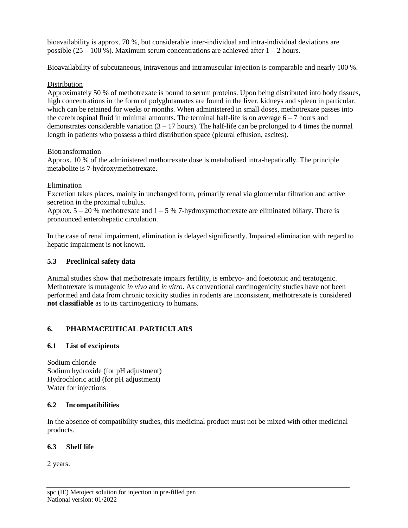bioavailability is approx. 70 %, but considerable inter-individual and intra-individual deviations are possible  $(25 - 100\%)$ . Maximum serum concentrations are achieved after  $1 - 2$  hours.

Bioavailability of subcutaneous, intravenous and intramuscular injection is comparable and nearly 100 %.

## **Distribution**

Approximately 50 % of methotrexate is bound to serum proteins. Upon being distributed into body tissues, high concentrations in the form of polyglutamates are found in the liver, kidneys and spleen in particular, which can be retained for weeks or months. When administered in small doses, methotrexate passes into the cerebrospinal fluid in minimal amounts. The terminal half-life is on average  $6 - 7$  hours and demonstrates considerable variation  $(3 - 17$  hours). The half-life can be prolonged to 4 times the normal length in patients who possess a third distribution space (pleural effusion, ascites).

## Biotransformation

Approx. 10 % of the administered methotrexate dose is metabolised intra-hepatically. The principle metabolite is 7-hydroxymethotrexate.

## Elimination

Excretion takes places, mainly in unchanged form, primarily renal via glomerular filtration and active secretion in the proximal tubulus.

Approx.  $5 - 20$  % methotrexate and  $1 - 5$  % 7-hydroxymethotrexate are eliminated biliary. There is pronounced enterohepatic circulation.

In the case of renal impairment, elimination is delayed significantly. Impaired elimination with regard to hepatic impairment is not known.

## **5.3 Preclinical safety data**

Animal studies show that methotrexate impairs fertility, is embryo- and foetotoxic and teratogenic. Methotrexate is mutagenic *in vivo* and *in vitro*. As conventional carcinogenicity studies have not been performed and data from chronic toxicity studies in rodents are inconsistent, methotrexate is considered **not classifiable** as to its carcinogenicity to humans.

# **6. PHARMACEUTICAL PARTICULARS**

# **6.1 List of excipients**

Sodium chloride Sodium hydroxide (for pH adjustment) Hydrochloric acid (for pH adjustment) Water for injections

# **6.2 Incompatibilities**

In the absence of compatibility studies, this medicinal product must not be mixed with other medicinal products.

# **6.3 Shelf life**

2 years.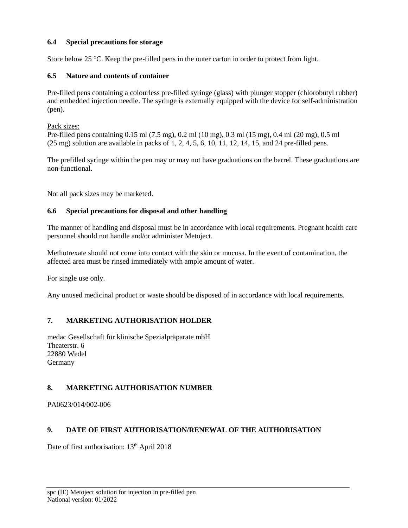## **6.4 Special precautions for storage**

Store below 25 °C. Keep the pre-filled pens in the outer carton in order to protect from light.

## **6.5 Nature and contents of container**

Pre-filled pens containing a colourless pre-filled syringe (glass) with plunger stopper (chlorobutyl rubber) and embedded injection needle. The syringe is externally equipped with the device for self-administration (pen).

Pack sizes:

Pre-filled pens containing 0.15 ml (7.5 mg), 0.2 ml (10 mg), 0.3 ml (15 mg), 0.4 ml (20 mg), 0.5 ml (25 mg) solution are available in packs of 1, 2, 4, 5, 6, 10, 11, 12, 14, 15, and 24 pre-filled pens.

The prefilled syringe within the pen may or may not have graduations on the barrel. These graduations are non-functional.

Not all pack sizes may be marketed.

## **6.6 Special precautions for disposal and other handling**

The manner of handling and disposal must be in accordance with local requirements. Pregnant health care personnel should not handle and/or administer Metoject.

Methotrexate should not come into contact with the skin or mucosa. In the event of contamination, the affected area must be rinsed immediately with ample amount of water.

For single use only.

Any unused medicinal product or waste should be disposed of in accordance with local requirements.

# **7. MARKETING AUTHORISATION HOLDER**

medac Gesellschaft für klinische Spezialpräparate mbH Theaterstr. 6 22880 Wedel Germany

# **8. MARKETING AUTHORISATION NUMBER**

PA0623/014/002-006

# **9. DATE OF FIRST AUTHORISATION/RENEWAL OF THE AUTHORISATION**

Date of first authorisation: 13<sup>th</sup> April 2018